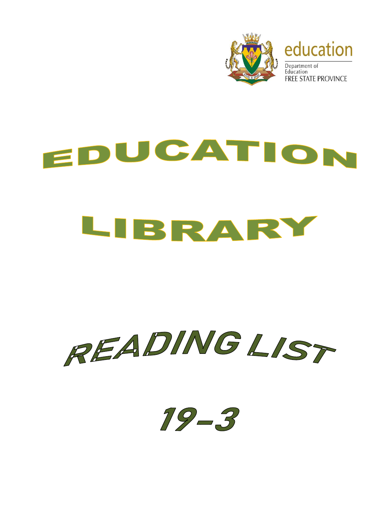

## EDUCATION LIBRARY



 $19 - 3$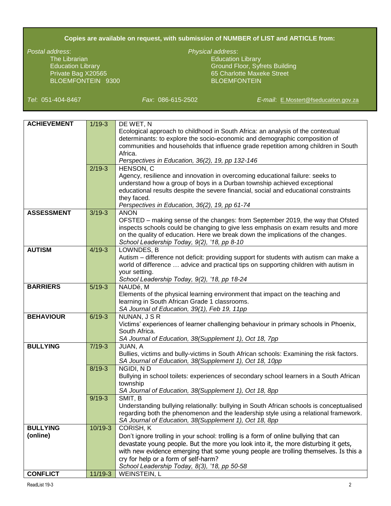## **Copies are available on request, with submission of NUMBER of LIST and ARTICLE from:**

The Librarian Education Library Company and Company Education Library BLOEMFONTEIN 9300

## *Postal address*: *Physical address*:

Education Library Ground Floor, Syfrets Building Private Bag X20565 65 Charlotte Maxeke Street

*Tel*: 051-404-8467 *Fax*: 086-615-2502 *E-mail*: [E.Mostert@fseducation.gov.za](mailto:E.Mostert@fseducation.gov.za)

| <b>ACHIEVEMENT</b> | $1/19-3$  | DE WET, N                                                                                                                                                                        |
|--------------------|-----------|----------------------------------------------------------------------------------------------------------------------------------------------------------------------------------|
|                    |           | Ecological approach to childhood in South Africa: an analysis of the contextual                                                                                                  |
|                    |           | determinants: to explore the socio-economic and demographic composition of                                                                                                       |
|                    |           | communities and households that influence grade repetition among children in South                                                                                               |
|                    |           | Africa.                                                                                                                                                                          |
|                    |           | Perspectives in Education, 36(2), 19, pp 132-146                                                                                                                                 |
|                    | $2/19-3$  | HENSON, C                                                                                                                                                                        |
|                    |           | Agency, resilience and innovation in overcoming educational failure: seeks to                                                                                                    |
|                    |           | understand how a group of boys in a Durban township achieved exceptional                                                                                                         |
|                    |           | educational results despite the severe financial, social and educational constraints                                                                                             |
|                    |           | they faced.                                                                                                                                                                      |
|                    |           | Perspectives in Education, 36(2), 19, pp 61-74                                                                                                                                   |
| <b>ASSESSMENT</b>  | $3/19-3$  | <b>ANON</b>                                                                                                                                                                      |
|                    |           | OFSTED – making sense of the changes: from September 2019, the way that Ofsted                                                                                                   |
|                    |           | inspects schools could be changing to give less emphasis on exam results and more                                                                                                |
|                    |           | on the quality of education. Here we break down the implications of the changes.                                                                                                 |
|                    |           | School Leadership Today, 9(2), '18, pp 8-10                                                                                                                                      |
| <b>AUTISM</b>      | $4/19-3$  | LOWNDES, B                                                                                                                                                                       |
|                    |           | Autism - difference not deficit: providing support for students with autism can make a                                                                                           |
|                    |           | world of difference  advice and practical tips on supporting children with autism in                                                                                             |
|                    |           | your setting.                                                                                                                                                                    |
|                    |           | School Leadership Today, 9(2), '18, pp 18-24                                                                                                                                     |
| <b>BARRIERS</b>    | $5/19-3$  | NAUDé, M                                                                                                                                                                         |
|                    |           | Elements of the physical learning environment that impact on the teaching and                                                                                                    |
|                    |           | learning in South African Grade 1 classrooms.                                                                                                                                    |
|                    |           | SA Journal of Education, 39(1), Feb 19, 11pp                                                                                                                                     |
| <b>BEHAVIOUR</b>   | $6/19-3$  | NUNAN, J S R                                                                                                                                                                     |
|                    |           | Victims' experiences of learner challenging behaviour in primary schools in Phoenix,                                                                                             |
|                    |           | South Africa.                                                                                                                                                                    |
|                    |           | SA Journal of Education, 38(Supplement 1), Oct 18, 7pp                                                                                                                           |
| <b>BULLYING</b>    | $7/19-3$  | JUAN, A                                                                                                                                                                          |
|                    |           | Bullies, victims and bully-victims in South African schools: Examining the risk factors.                                                                                         |
|                    |           | SA Journal of Education, 38(Supplement 1), Oct 18, 10pp<br>NGIDI, ND                                                                                                             |
|                    | $8/19-3$  |                                                                                                                                                                                  |
|                    |           | Bullying in school toilets: experiences of secondary school learners in a South African                                                                                          |
|                    |           | township                                                                                                                                                                         |
|                    | $9/19-3$  | SA Journal of Education, 38(Supplement 1), Oct 18, 8pp<br>SMIT, B                                                                                                                |
|                    |           |                                                                                                                                                                                  |
|                    |           | Understanding bullying relationally: bullying in South African schools is conceptualised<br>regarding both the phenomenon and the leadership style using a relational framework. |
|                    |           | SA Journal of Education, 38(Supplement 1), Oct 18, 8pp                                                                                                                           |
| <b>BULLYING</b>    | $10/19-3$ | CORISH, K                                                                                                                                                                        |
| (online)           |           |                                                                                                                                                                                  |
|                    |           | Don't ignore trolling in your school: trolling is a form of online bullying that can                                                                                             |
|                    |           | devastate young people. But the more you look into it, the more disturbing it gets,                                                                                              |
|                    |           | with new evidence emerging that some young people are trolling themselves. Is this a                                                                                             |
|                    |           | cry for help or a form of self-harm?                                                                                                                                             |
|                    |           | School Leadership Today, 8(3), '18, pp 50-58                                                                                                                                     |
| <b>CONFLICT</b>    | $11/19-3$ | <b>WEINSTEIN, L</b>                                                                                                                                                              |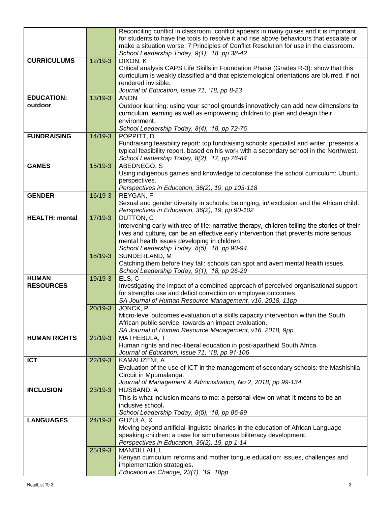|                       |           | Reconciling conflict in classroom: conflict appears in many guises and it is important<br>for students to have the tools to resolve it and rise above behaviours that escalate or<br>make a situation worse: 7 Principles of Conflict Resolution for use in the classroom.<br>School Leadership Today, 9(1), '18, pp 38-42 |
|-----------------------|-----------|----------------------------------------------------------------------------------------------------------------------------------------------------------------------------------------------------------------------------------------------------------------------------------------------------------------------------|
|                       |           |                                                                                                                                                                                                                                                                                                                            |
| <b>CURRICULUMS</b>    | $12/19-3$ | DIXON, K                                                                                                                                                                                                                                                                                                                   |
|                       |           | Critical analysis CAPS Life Skills in Foundation Phase (Grades R-3): show that this                                                                                                                                                                                                                                        |
|                       |           | curriculum is weakly classified and that epistemological orientations are blurred, if not                                                                                                                                                                                                                                  |
|                       |           | rendered invisible.                                                                                                                                                                                                                                                                                                        |
|                       |           | Journal of Education, Issue 71, '18, pp 8-23                                                                                                                                                                                                                                                                               |
| <b>EDUCATION:</b>     | $13/19-3$ | <b>ANON</b>                                                                                                                                                                                                                                                                                                                |
| outdoor               |           | Outdoor learning: using your school grounds innovatively can add new dimensions to                                                                                                                                                                                                                                         |
|                       |           | curriculum learning as well as empowering children to plan and design their                                                                                                                                                                                                                                                |
|                       |           | environment.                                                                                                                                                                                                                                                                                                               |
|                       |           | School Leadership Today, 8(4), '18, pp 72-76                                                                                                                                                                                                                                                                               |
| <b>FUNDRAISING</b>    | $14/19-3$ | POPPITT, D                                                                                                                                                                                                                                                                                                                 |
|                       |           | Fundraising feasibility report: top fundraising schools specialist and writer, presents a                                                                                                                                                                                                                                  |
|                       |           | typical feasibility report, based on his work with a secondary school in the Northwest.                                                                                                                                                                                                                                    |
|                       |           |                                                                                                                                                                                                                                                                                                                            |
|                       |           | School Leadership Today, 8(2), '17, pp 76-84                                                                                                                                                                                                                                                                               |
| <b>GAMES</b>          | 15/19-3   | ABEDNEGO, S                                                                                                                                                                                                                                                                                                                |
|                       |           | Using indigenous games and knowledge to decolonise the school curriculum: Ubuntu                                                                                                                                                                                                                                           |
|                       |           | perspectives.                                                                                                                                                                                                                                                                                                              |
|                       |           | Perspectives in Education, 36(2), 19, pp 103-118                                                                                                                                                                                                                                                                           |
| <b>GENDER</b>         | 16/19-3   | REYGAN, F                                                                                                                                                                                                                                                                                                                  |
|                       |           | Sexual and gender diversity in schools: belonging, in/exclusion and the African child.                                                                                                                                                                                                                                     |
|                       |           | Perspectives in Education, 36(2), 19, pp 90-102                                                                                                                                                                                                                                                                            |
| <b>HEALTH: mental</b> | $17/19-3$ | DUTTON, C                                                                                                                                                                                                                                                                                                                  |
|                       |           | Intervening early with tree of life: narrative therapy, children telling the stories of their                                                                                                                                                                                                                              |
|                       |           | lives and culture, can be an effective early intervention that prevents more serious                                                                                                                                                                                                                                       |
|                       |           | mental health issues developing in children.                                                                                                                                                                                                                                                                               |
|                       |           | School Leadership Today, 8(5), '18, pp 90-94                                                                                                                                                                                                                                                                               |
|                       | 18/19-3   | SUNDERLAND, M                                                                                                                                                                                                                                                                                                              |
|                       |           | Catching them before they fall: schools can spot and avert mental health issues.                                                                                                                                                                                                                                           |
|                       |           | School Leadership Today, 9(1), '18, pp 26-29                                                                                                                                                                                                                                                                               |
| <b>HUMAN</b>          | 19/19-3   | ELS, C                                                                                                                                                                                                                                                                                                                     |
| <b>RESOURCES</b>      |           | Investigating the impact of a combined approach of perceived organisational support                                                                                                                                                                                                                                        |
|                       |           | for strengths use and deficit correction on employee outcomes.                                                                                                                                                                                                                                                             |
|                       |           | SA Journal of Human Resource Management, v16, 2018, 11pp                                                                                                                                                                                                                                                                   |
|                       | 20/19-3   | JONCK, P                                                                                                                                                                                                                                                                                                                   |
|                       |           | Micro-level outcomes evaluation of a skills capacity intervention within the South                                                                                                                                                                                                                                         |
|                       |           | African public service: towards an impact evaluation.                                                                                                                                                                                                                                                                      |
|                       |           | SA Journal of Human Resource Management, v16, 2018, 9pp                                                                                                                                                                                                                                                                    |
| <b>HUMAN RIGHTS</b>   | $21/19-3$ | MATHEBULA, T                                                                                                                                                                                                                                                                                                               |
|                       |           | Human rights and neo-liberal education in post-apartheid South Africa.                                                                                                                                                                                                                                                     |
|                       |           | Journal of Education, Issue 71, '18, pp 91-106                                                                                                                                                                                                                                                                             |
| <b>ICT</b>            | $22/19-3$ | KAMALIZENI, A                                                                                                                                                                                                                                                                                                              |
|                       |           | Evaluation of the use of ICT in the management of secondary schools: the Mashishila                                                                                                                                                                                                                                        |
|                       |           | Circuit in Mpumalanga.                                                                                                                                                                                                                                                                                                     |
|                       |           | Journal of Management & Administration, No 2, 2018, pp 99-134                                                                                                                                                                                                                                                              |
| <b>INCLUSION</b>      | $23/19-3$ | HUSBAND, A                                                                                                                                                                                                                                                                                                                 |
|                       |           | This is what inclusion means to me: a personal view on what it means to be an                                                                                                                                                                                                                                              |
|                       |           | inclusive school.                                                                                                                                                                                                                                                                                                          |
|                       |           | School Leadership Today, 8(5), '18, pp 86-89                                                                                                                                                                                                                                                                               |
| <b>LANGUAGES</b>      | $24/19-3$ | GUZULA, X                                                                                                                                                                                                                                                                                                                  |
|                       |           | Moving beyond artificial linguistic binaries in the education of African Language                                                                                                                                                                                                                                          |
|                       |           | speaking children: a case for simultaneous biliteracy development.                                                                                                                                                                                                                                                         |
|                       |           | Perspectives in Education, 36(2), 19, pp 1-14                                                                                                                                                                                                                                                                              |
|                       | $25/19-3$ | MANDILLAH, L                                                                                                                                                                                                                                                                                                               |
|                       |           | Kenyan curriculum reforms and mother tongue education: issues, challenges and                                                                                                                                                                                                                                              |
|                       |           | implementation strategies.                                                                                                                                                                                                                                                                                                 |
|                       |           | Education as Change, 23(1), '19, 18pp                                                                                                                                                                                                                                                                                      |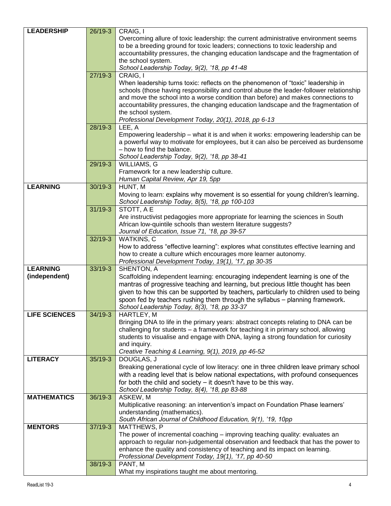| <b>LEADERSHIP</b>    | 26/19-3   | CRAIG, I                                                                                |
|----------------------|-----------|-----------------------------------------------------------------------------------------|
|                      |           | Overcoming allure of toxic leadership: the current administrative environment seems     |
|                      |           | to be a breeding ground for toxic leaders; connections to toxic leadership and          |
|                      |           | accountability pressures, the changing education landscape and the fragmentation of     |
|                      |           | the school system.                                                                      |
|                      |           | School Leadership Today, 9(2), '18, pp 41-48                                            |
|                      | $27/19-3$ | CRAIG, I                                                                                |
|                      |           | When leadership turns toxic: reflects on the phenomenon of "toxic" leadership in        |
|                      |           | schools (those having responsibility and control abuse the leader-follower relationship |
|                      |           | and move the school into a worse condition than before) and makes connections to        |
|                      |           | accountability pressures, the changing education landscape and the fragmentation of     |
|                      |           | the school system.                                                                      |
|                      |           | Professional Development Today, 20(1), 2018, pp 6-13                                    |
|                      | 28/19-3   | LEE, A                                                                                  |
|                      |           | Empowering leadership – what it is and when it works: empowering leadership can be      |
|                      |           | a powerful way to motivate for employees, but it can also be perceived as burdensome    |
|                      |           | - how to find the balance.                                                              |
|                      |           | School Leadership Today, 9(2), '18, pp 38-41                                            |
|                      | 29/19-3   | WILLIAMS, G                                                                             |
|                      |           | Framework for a new leadership culture.                                                 |
|                      |           | Human Capital Review, Apr 19, 5pp                                                       |
| <b>LEARNING</b>      | 30/19-3   | HUNT, M                                                                                 |
|                      |           | Moving to learn: explains why movement is so essential for young children's learning.   |
|                      |           |                                                                                         |
|                      | $31/19-3$ | School Leadership Today, 8(5), '18, pp 100-103<br>STOTT, A E                            |
|                      |           | Are instructivist pedagogies more appropriate for learning the sciences in South        |
|                      |           | African low-quintile schools than western literature suggests?                          |
|                      |           | Journal of Education, Issue 71, '18, pp 39-57                                           |
|                      | 32/19-3   | WATKINS, C                                                                              |
|                      |           |                                                                                         |
|                      |           | How to address "effective learning": explores what constitutes effective learning and   |
|                      |           | how to create a culture which encourages more learner autonomy.                         |
| <b>LEARNING</b>      | 33/19-3   | Professional Development Today, 19(1), '17, pp 30-35                                    |
| (independent)        |           | SHENTON, A                                                                              |
|                      |           | Scaffolding independent learning: encouraging independent learning is one of the        |
|                      |           | mantras of progressive teaching and learning, but precious little thought has been      |
|                      |           | given to how this can be supported by teachers, particularly to children used to being  |
|                      |           | spoon fed by teachers rushing them through the syllabus - planning framework.           |
|                      |           | School Leadership Today, 8(3), '18, pp 33-37                                            |
| <b>LIFE SCIENCES</b> | 34/19-3   | HARTLEY, M                                                                              |
|                      |           | Bringing DNA to life in the primary years: abstract concepts relating to DNA can be     |
|                      |           | challenging for students - a framework for teaching it in primary school, allowing      |
|                      |           | students to visualise and engage with DNA, laying a strong foundation for curiosity     |
|                      |           | and inquiry.<br>Creative Teaching & Learning, 9(1), 2019, pp 46-52                      |
| <b>LITERACY</b>      | 35/19-3   |                                                                                         |
|                      |           | DOUGLAS, J                                                                              |
|                      |           | Breaking generational cycle of low literacy: one in three children leave primary school |
|                      |           | with a reading level that is below national expectations, with profound consequences    |
|                      |           | for both the child and society $-$ it doesn't have to be this way.                      |
|                      |           | School Leadership Today, 8(4), '18, pp 83-88                                            |
| <b>MATHEMATICS</b>   | 36/19-3   | ASKEW, M                                                                                |
|                      |           | Multiplicative reasoning: an intervention's impact on Foundation Phase learners'        |
|                      |           | understanding (mathematics).                                                            |
|                      |           | South African Journal of Childhood Education, 9(1), '19, 10pp                           |
| <b>MENTORS</b>       | $37/19-3$ | MATTHEWS, P                                                                             |
|                      |           | The power of incremental coaching – improving teaching quality: evaluates an            |
|                      |           | approach to regular non-judgemental observation and feedback that has the power to      |
|                      |           | enhance the quality and consistency of teaching and its impact on learning.             |
|                      |           | Professional Development Today, 19(1), '17, pp 40-50                                    |
|                      | 38/19-3   | PANT, M                                                                                 |
|                      |           | What my inspirations taught me about mentoring.                                         |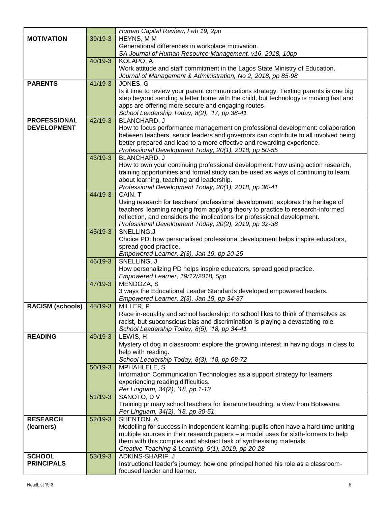|                         |           | Human Capital Review, Feb 19, 2pp                                                    |
|-------------------------|-----------|--------------------------------------------------------------------------------------|
| <b>MOTIVATION</b>       | 39/19-3   | HEYNS, MM                                                                            |
|                         |           | Generational differences in workplace motivation.                                    |
|                         |           | SA Journal of Human Resource Management, v16, 2018, 10pp                             |
|                         | 40/19-3   | KOLAPO, A                                                                            |
|                         |           | Work attitude and staff commitment in the Lagos State Ministry of Education.         |
|                         |           | Journal of Management & Administration, No 2, 2018, pp 85-98                         |
| <b>PARENTS</b>          | 41/19-3   | JONES, G                                                                             |
|                         |           | Is it time to review your parent communications strategy: Texting parents is one big |
|                         |           | step beyond sending a letter home with the child, but technology is moving fast and  |
|                         |           | apps are offering more secure and engaging routes.                                   |
|                         |           | School Leadership Today, 8(2), '17, pp 38-41                                         |
| <b>PROFESSIONAL</b>     | 42/19-3   | <b>BLANCHARD, J</b>                                                                  |
| <b>DEVELOPMENT</b>      |           | How to focus performance management on professional development: collaboration       |
|                         |           | between teachers, senior leaders and governors can contribute to all involved being  |
|                         |           | better prepared and lead to a more effective and rewarding experience.               |
|                         |           | Professional Development Today, 20(1), 2018, pp 50-55                                |
|                         | 43/19-3   | BLANCHARD, J                                                                         |
|                         |           | How to own your continuing professional development: how using action research,      |
|                         |           | training opportunities and formal study can be used as ways of continuing to learn   |
|                         |           | about learning, teaching and leadership.                                             |
|                         |           | Professional Development Today, 20(1), 2018, pp 36-41                                |
|                         | 44/19-3   | CAIN, T                                                                              |
|                         |           | Using research for teachers' professional development: explores the heritage of      |
|                         |           | teachers' learning ranging from applying theory to practice to research-informed     |
|                         |           | reflection, and considers the implications for professional development.             |
|                         |           | Professional Development Today, 20(2), 2019, pp 32-38                                |
|                         | 45/19-3   | SNELLING, J                                                                          |
|                         |           | Choice PD: how personalised professional development helps inspire educators,        |
|                         |           | spread good practice.                                                                |
|                         |           | Empowered Learner, 2(3), Jan 19, pp 20-25                                            |
|                         | 46/19-3   | SNELLING, J                                                                          |
|                         |           | How personalizing PD helps inspire educators, spread good practice.                  |
|                         |           | Empowered Learner, 19/12/2018, 5pp                                                   |
|                         | 47/19-3   | MENDOZA, S                                                                           |
|                         |           | 3 ways the Educational Leader Standards developed empowered leaders.                 |
|                         |           | Empowered Learner, 2(3), Jan 19, pp 34-37                                            |
| <b>RACISM (schools)</b> | 48/19-3   | MILLER, P                                                                            |
|                         |           | Race in-equality and school leadership: no school likes to think of themselves as    |
|                         |           | racist, but subconscious bias and discrimination is playing a devastating role.      |
|                         |           | School Leadership Today, 8(5), '18, pp 34-41                                         |
| <b>READING</b>          | 49/19-3   | LEWIS, H                                                                             |
|                         |           | Mystery of dog in classroom: explore the growing interest in having dogs in class to |
|                         |           | help with reading.                                                                   |
|                         |           | School Leadership Today, 8(3), '18, pp 68-72                                         |
|                         | $50/19-3$ | MPHAHLELE, S                                                                         |
|                         |           | Information Communication Technologies as a support strategy for learners            |
|                         |           | experiencing reading difficulties.                                                   |
|                         |           | Per Linguam, 34(2), '18, pp 1-13                                                     |
|                         | $51/19-3$ | SANOTO, DV                                                                           |
|                         |           | Training primary school teachers for literature teaching: a view from Botswana.      |
|                         |           | Per Linguam, 34(2), '18, pp 30-51                                                    |
| <b>RESEARCH</b>         | 52/19-3   | SHENTON, A                                                                           |
| (learners)              |           | Modelling for success in independent learning: pupils often have a hard time uniting |
|                         |           | multiple sources in their research papers - a model uses for sixth-formers to help   |
|                         |           | them with this complex and abstract task of synthesising materials.                  |
|                         |           | Creative Teaching & Learning, 9(1), 2019, pp 20-28                                   |
| <b>SCHOOL</b>           | 53/19-3   | ADKINS-SHARIF, J                                                                     |
| <b>PRINCIPALS</b>       |           | Instructional leader's journey: how one principal honed his role as a classroom-     |
|                         |           | focused leader and learner.                                                          |
|                         |           |                                                                                      |